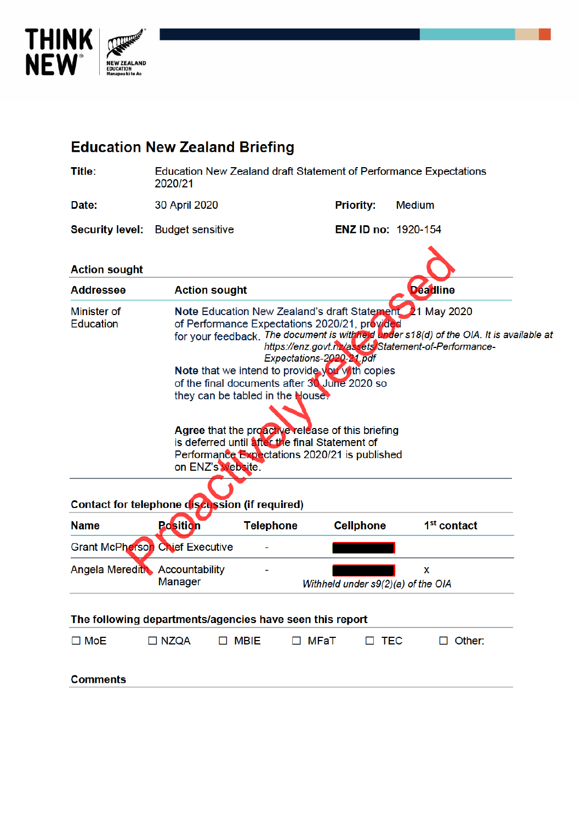

| <b>Education New Zealand Briefing</b>                                                                                                                                                                                                                                                                                                                                                                                                                                                                                                                                                                                                                                                                   |                                                                              |                  |                                    |                         |
|---------------------------------------------------------------------------------------------------------------------------------------------------------------------------------------------------------------------------------------------------------------------------------------------------------------------------------------------------------------------------------------------------------------------------------------------------------------------------------------------------------------------------------------------------------------------------------------------------------------------------------------------------------------------------------------------------------|------------------------------------------------------------------------------|------------------|------------------------------------|-------------------------|
| <b>Title:</b>                                                                                                                                                                                                                                                                                                                                                                                                                                                                                                                                                                                                                                                                                           | Education New Zealand draft Statement of Performance Expectations<br>2020/21 |                  |                                    |                         |
| Date:                                                                                                                                                                                                                                                                                                                                                                                                                                                                                                                                                                                                                                                                                                   | 30 April 2020                                                                |                  | <b>Priority:</b>                   | <b>Medium</b>           |
| <b>Security level:</b>                                                                                                                                                                                                                                                                                                                                                                                                                                                                                                                                                                                                                                                                                  | <b>Budget sensitive</b>                                                      |                  | <b>ENZ ID no: 1920-154</b>         |                         |
| <b>Action sought</b>                                                                                                                                                                                                                                                                                                                                                                                                                                                                                                                                                                                                                                                                                    |                                                                              |                  |                                    |                         |
| <b>Addressee</b>                                                                                                                                                                                                                                                                                                                                                                                                                                                                                                                                                                                                                                                                                        | <b>Action sought</b>                                                         |                  |                                    | <b>Deadline</b>         |
| Note Education New Zealand's draft Statement 21 May 2020<br>Minister of<br><b>Education</b><br>of Performance Expectations 2020/21, provided<br>for your feedback. The document is withheld under s18(d) of the OIA. It is available at<br>https://enz.govt.nz/assets/Statement-of-Performance-<br>Expectations-2020-21.pdf<br><b>Note that we intend to provide you with copies</b><br>of the final documents after 30 June 2020 so<br>they can be tabled in the House.<br>Agree that the proactive release of this briefing<br>is deferred until after the final Statement of<br>Performance Expectations 2020/21 is published<br>on ENZ's Website.<br>Contact for telephone discussion (if required) |                                                                              |                  |                                    |                         |
| <b>Name</b>                                                                                                                                                                                                                                                                                                                                                                                                                                                                                                                                                                                                                                                                                             | Position                                                                     | <b>Telephone</b> | <b>Cellphone</b>                   | 1 <sup>st</sup> contact |
|                                                                                                                                                                                                                                                                                                                                                                                                                                                                                                                                                                                                                                                                                                         | <b>Grant McPherson Chief Executive</b>                                       |                  |                                    |                         |
| Angela Meredith Accountability                                                                                                                                                                                                                                                                                                                                                                                                                                                                                                                                                                                                                                                                          | <b>Manager</b>                                                               |                  | Withheld under s9(2)(a) of the OIA | x                       |
| The following departments/agencies have seen this report                                                                                                                                                                                                                                                                                                                                                                                                                                                                                                                                                                                                                                                |                                                                              |                  |                                    |                         |
| $\square$ MoE                                                                                                                                                                                                                                                                                                                                                                                                                                                                                                                                                                                                                                                                                           | $\Box$ NZQA                                                                  | $\Box$ MBIE      | $\Box$ MFaT<br>$\Box$ TEC          | $\Box$ Other:           |
| <b>Comments</b>                                                                                                                                                                                                                                                                                                                                                                                                                                                                                                                                                                                                                                                                                         |                                                                              |                  |                                    |                         |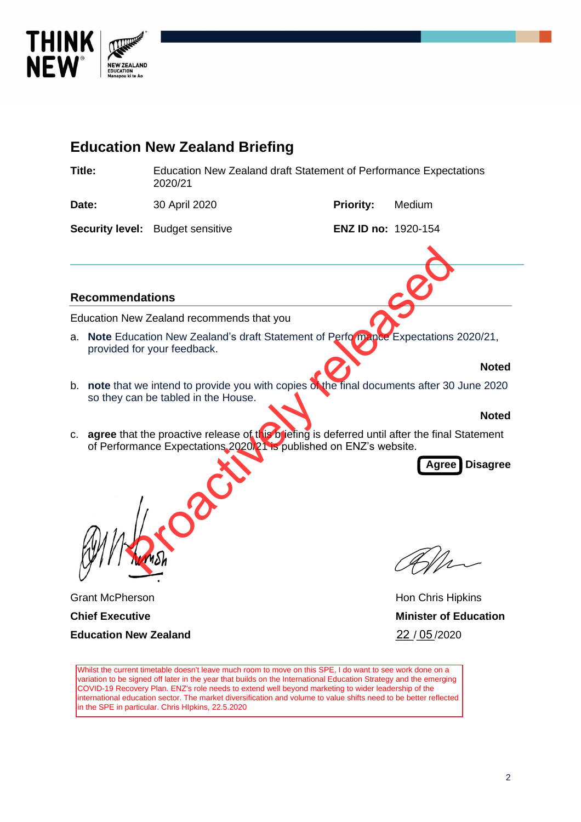



Whilst the current timetable doesn't leave much room to move on this SPE, I do want to see work done on a variation to be signed off later in the year that builds on the International Education Strategy and the emerging COVID-19 Recovery Plan. ENZ's role needs to extend well beyond marketing to wider leadership of the international education sector. The market diversification and volume to value shifts need to be better reflected in the SPE in particular. Chris HIpkins, 22.5.2020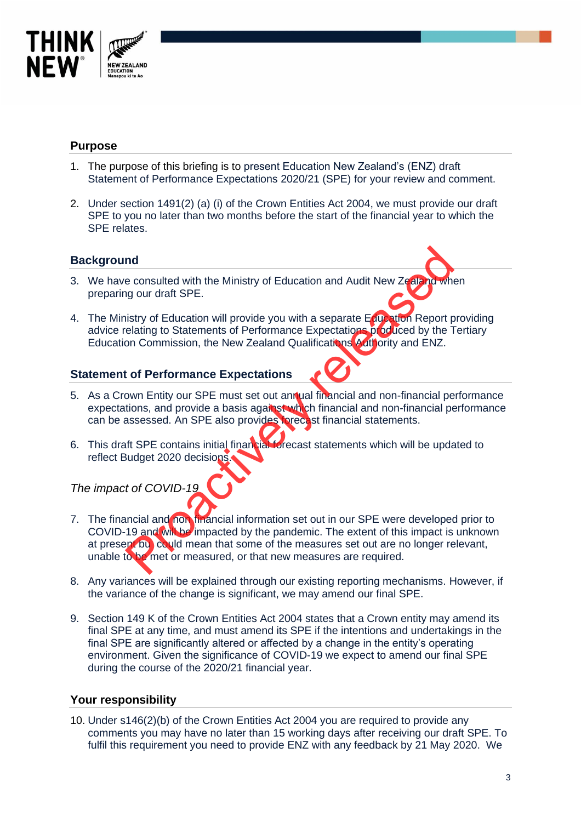

# **Purpose**

- 1. The purpose of this briefing is to present Education New Zealand's (ENZ) draft Statement of Performance Expectations 2020/21 (SPE) for your review and comment.
- 2. Under section 1491(2) (a) (i) of the Crown Entities Act 2004, we must provide our draft SPE to you no later than two months before the start of the financial year to which the SPE relates.

# **Background**

- 3. We have consulted with the Ministry of Education and Audit New Zealand when preparing our draft SPE.
- 4. The Ministry of Education will provide you with a separate Education Report providing advice relating to Statements of Performance Expectations produced by the Tertiary Education Commission, the New Zealand Qualifications Authority and ENZ.

### **Statement of Performance Expectations**

- 5. As a Crown Entity our SPE must set out annual financial and non-financial performance expectations, and provide a basis against which financial and non-financial performance can be assessed. An SPE also provides forecast financial statements.
- 6. This draft SPE contains initial financial forecast statements which will be updated to reflect Budget 2020 decisions.

*The impact of COVID-19*

- 7. The financial and non financial information set out in our SPE were developed prior to COVID-19 and will be impacted by the pandemic. The extent of this impact is unknown at present bu could mean that some of the measures set out are no longer relevant, unable to be met or measured, or that new measures are required. nd<br>
e consulted with the Ministry of Education and Audit New Zeal of the ground ratio SPE.<br>
Suistry of Education will provide you with a separate Equation Report produced by the Telesting to Statements of Performance Expec
- 8. Any variances will be explained through our existing reporting mechanisms. However, if the variance of the change is significant, we may amend our final SPE.
- 9. Section 149 K of the Crown Entities Act 2004 states that a Crown entity may amend its final SPE at any time, and must amend its SPE if the intentions and undertakings in the final SPE are significantly altered or affected by a change in the entity's operating environment. Given the significance of COVID-19 we expect to amend our final SPE during the course of the 2020/21 financial year.

#### **Your responsibility**

10. Under s146(2)(b) of the Crown Entities Act 2004 you are required to provide any comments you may have no later than 15 working days after receiving our draft SPE. To fulfil this requirement you need to provide ENZ with any feedback by 21 May 2020. We